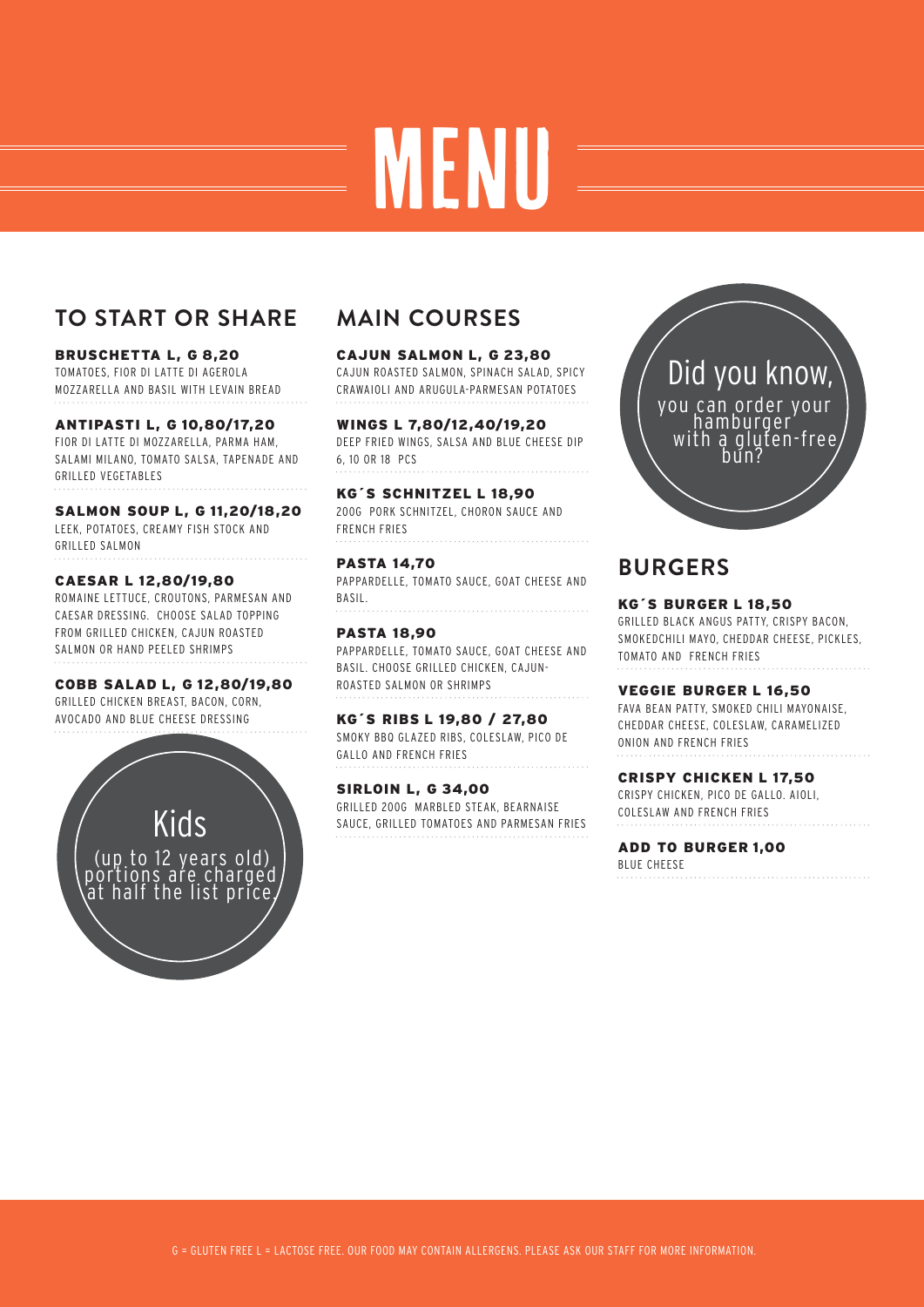# MENU

## **TO START OR SHARE**

#### BRUSCHETTA L, G 8,20

TOMATOES, FIOR DI LATTE DI AGEROLA MOZZARELLA AND BASIL WITH LEVAIN BREAD

#### **ANTIPASTI 10,80/17,20 L, G**

FIOR DI LATTE DI MOZZARELLA, PARMA HAM, SALAMI MILANO, TOMATO SALSA, TAPENADE AND GRILLED VEGETABLES

**SALMON SOUP 11,20/18,20 L, G** LEEK, POTATOES, CREAMY FISH STOCK AND GRILLED SALMON

#### **CAESAR 12,80/19,80 L**

ROMAINE LETTUCE, CROUTONS, PARMESAN AND CAESAR DRESSING. CHOOSE SALAD TOPPING FROM GRILLED CHICKEN, CAJUN ROASTED SALMON OR HAND PEELED SHRIMPS

**COBB SALAD 12,80/19,80 L, G** GRILLED CHICKEN BREAST, BACON, CORN, AVOCADO AND BLUE CHEESE DRESSING

> Kids (up to 12 years old) portions are charged, at half the list price/

# **MAIN COURSES**

**CAJUN SALMON 23,80 L, G** CAJUN ROASTED SALMON, SPINACH SALAD, SPICY CRAWAIOLI AND ARUGULA-PARMESAN POTATOES

**WINGS 7,80/12,40/19,20 L** DEEP FRIED WINGS, SALSA AND BLUE CHEESE DIP 6, 10 OR 18 PCS

**KG´S SCHNITZEL 18,90 L** 200G PORK SCHNITZEL, CHORON SAUCE AND FRENCH FRIES

**PASTA 14,70** PAPPARDELLE, TOMATO SAUCE, GOAT CHEESE AND BASIL.

**PASTA 18,90** PAPPARDELLE, TOMATO SAUCE, GOAT CHEESE AND BASIL. CHOOSE GRILLED CHICKEN, CAJUN-ROASTED SALMON OR SHRIMPS

**KG´S RIBS 19,80 / 27,80 L** SMOKY BBQ GLAZED RIBS, COLESLAW, PICO DE GALLO AND FRENCH FRIES

**SIRLOIN 34,00 L, G** GRILLED 200G MARBLED STEAK, BEARNAISE SAUCE, GRILLED TOMATOES AND PARMESAN FRIES



## **BURGERS**

**KG´S BURGER 18,50 L** GRILLED BLACK ANGUS PATTY, CRISPY BACON, SMOKEDCHILI MAYO, CHEDDAR CHEESE, PICKLES, TOMATO AND FRENCH FRIES

**VEGGIE BURGER 16,50 L** FAVA BEAN PATTY, SMOKED CHILI MAYONAISE, CHEDDAR CHEESE, COLESIAW, CARAMELIZED ONION AND FRENCH FRIES

**CRISPY CHICKEN L 17,50** CRISPY CHICKEN, PICO DE GALLO. AIOLI, COLESLAW AND FRENCH FRIES

**ADD TO BURGER 1,00**  BLUE CHEESE